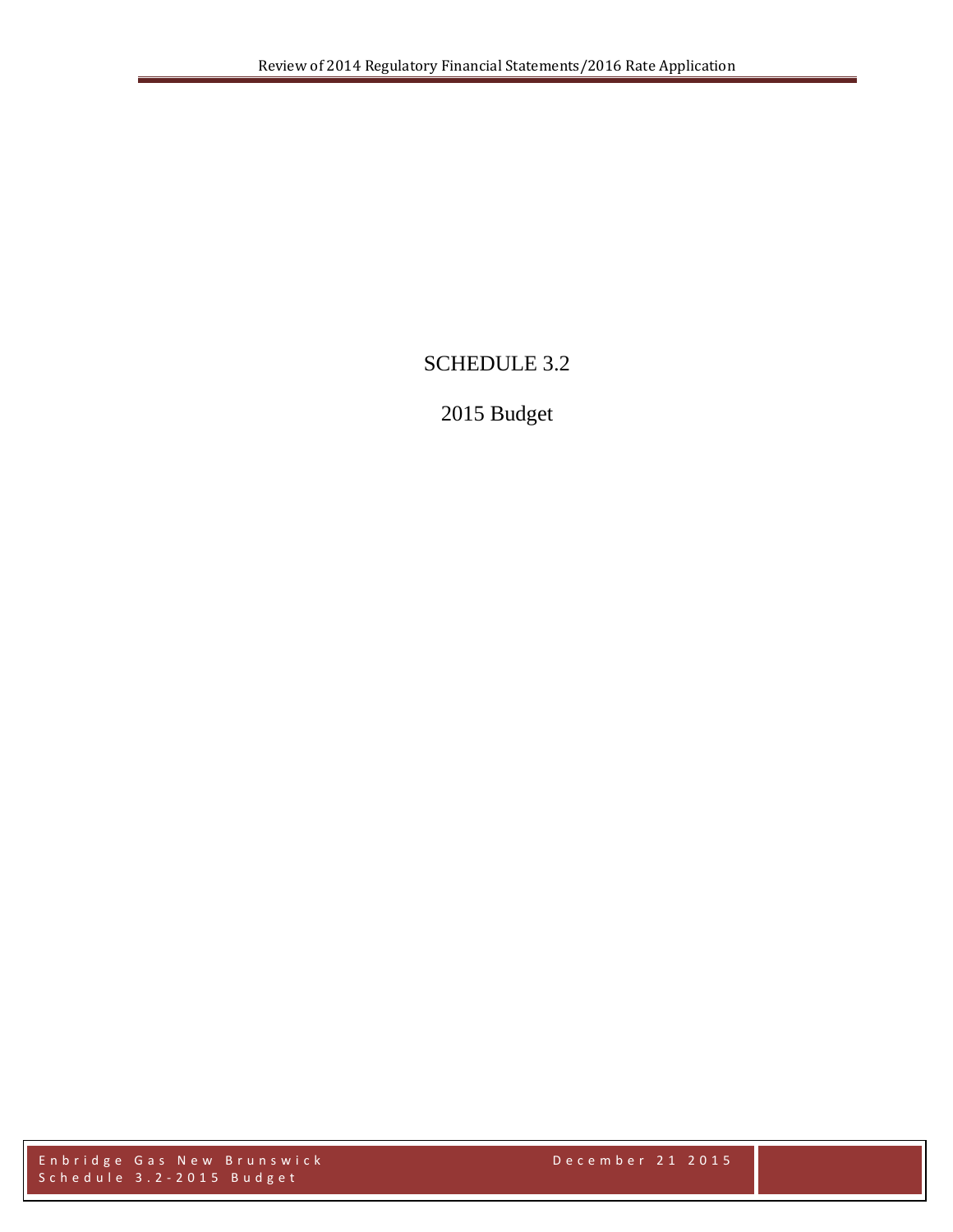# SCHEDULE 3.2

# 2015 Budget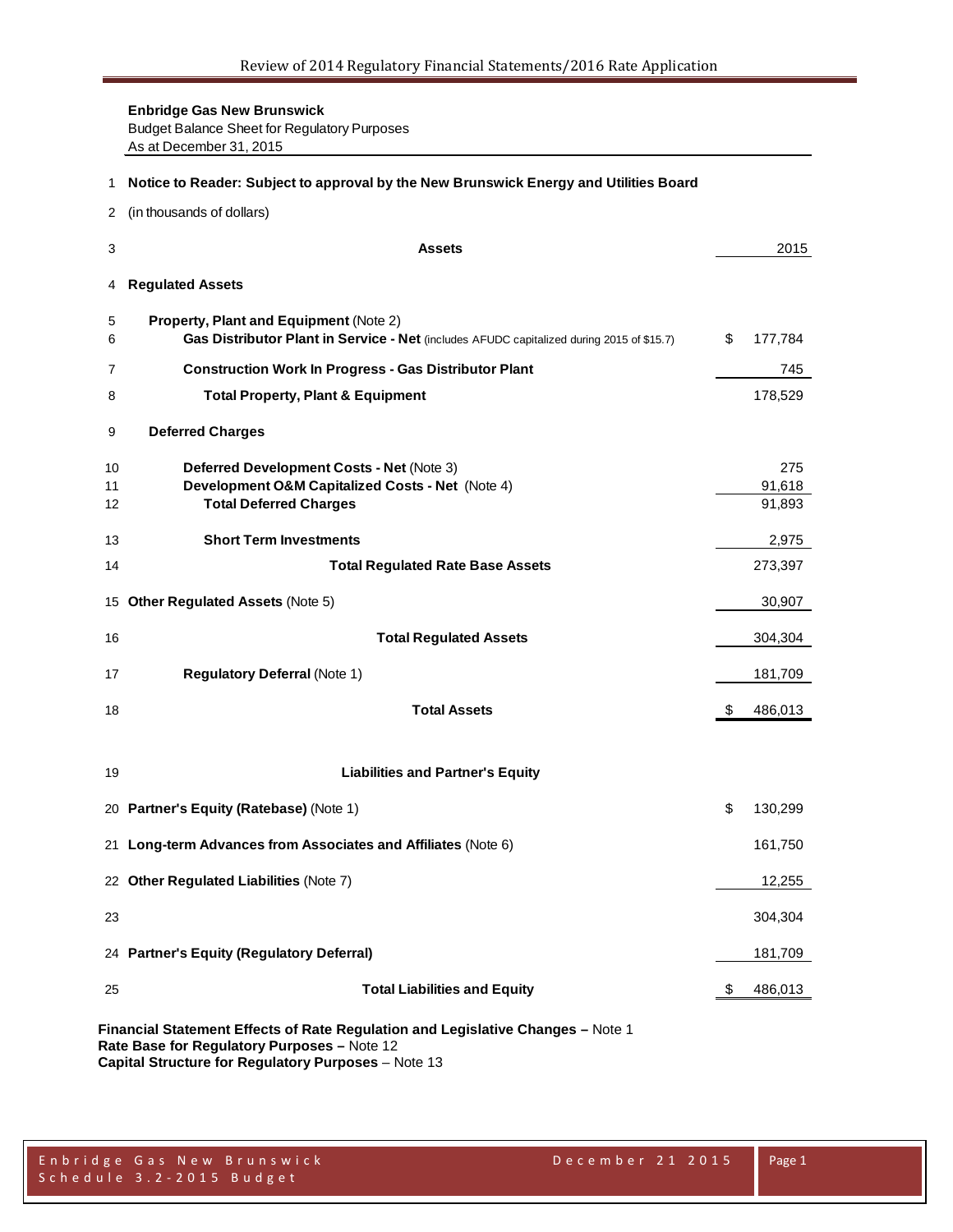**Enbridge Gas New Brunswick** Budget Balance Sheet for Regulatory Purposes As at December 31, 2015

| 1                             | Notice to Reader: Subject to approval by the New Brunswick Energy and Utilities Board                                                                                                 |    |                         |  |  |  |
|-------------------------------|---------------------------------------------------------------------------------------------------------------------------------------------------------------------------------------|----|-------------------------|--|--|--|
| 2                             | (in thousands of dollars)                                                                                                                                                             |    |                         |  |  |  |
| 3                             | <b>Assets</b>                                                                                                                                                                         |    | 2015                    |  |  |  |
| 4                             | <b>Regulated Assets</b>                                                                                                                                                               |    |                         |  |  |  |
| 5<br>6                        | <b>Property, Plant and Equipment (Note 2)</b><br>Gas Distributor Plant in Service - Net (includes AFUDC capitalized during 2015 of \$15.7)                                            | \$ | 177,784                 |  |  |  |
| 7                             | <b>Construction Work In Progress - Gas Distributor Plant</b>                                                                                                                          |    | 745                     |  |  |  |
| 8                             | <b>Total Property, Plant &amp; Equipment</b>                                                                                                                                          |    | 178,529                 |  |  |  |
| 9                             | <b>Deferred Charges</b>                                                                                                                                                               |    |                         |  |  |  |
| 10<br>11<br>$12 \overline{ }$ | Deferred Development Costs - Net (Note 3)<br>Development O&M Capitalized Costs - Net (Note 4)<br><b>Total Deferred Charges</b>                                                        |    | 275<br>91,618<br>91,893 |  |  |  |
| 13                            | <b>Short Term Investments</b>                                                                                                                                                         |    | 2,975                   |  |  |  |
| 14                            | <b>Total Regulated Rate Base Assets</b>                                                                                                                                               |    | 273,397                 |  |  |  |
| 15                            | <b>Other Regulated Assets (Note 5)</b>                                                                                                                                                |    | 30,907                  |  |  |  |
| 16                            | <b>Total Regulated Assets</b>                                                                                                                                                         |    | 304,304                 |  |  |  |
| 17                            | <b>Regulatory Deferral (Note 1)</b>                                                                                                                                                   |    | 181,709                 |  |  |  |
| 18                            | <b>Total Assets</b>                                                                                                                                                                   | S  | 486,013                 |  |  |  |
| 19                            | <b>Liabilities and Partner's Equity</b>                                                                                                                                               |    |                         |  |  |  |
|                               | 20 Partner's Equity (Ratebase) (Note 1)                                                                                                                                               | \$ | 130,299                 |  |  |  |
|                               | 21 Long-term Advances from Associates and Affiliates (Note 6)                                                                                                                         |    | 161,750                 |  |  |  |
|                               | 22 Other Regulated Liabilities (Note 7)                                                                                                                                               |    | 12,255                  |  |  |  |
| 23                            |                                                                                                                                                                                       |    | 304,304                 |  |  |  |
|                               | 24 Partner's Equity (Regulatory Deferral)                                                                                                                                             |    | 181,709                 |  |  |  |
| 25                            | <b>Total Liabilities and Equity</b>                                                                                                                                                   | \$ | 486,013                 |  |  |  |
|                               | Financial Statement Effects of Rate Regulation and Legislative Changes - Note 1<br>Rate Base for Regulatory Purposes - Note 12<br>Capital Structure for Regulatory Purposes - Note 13 |    |                         |  |  |  |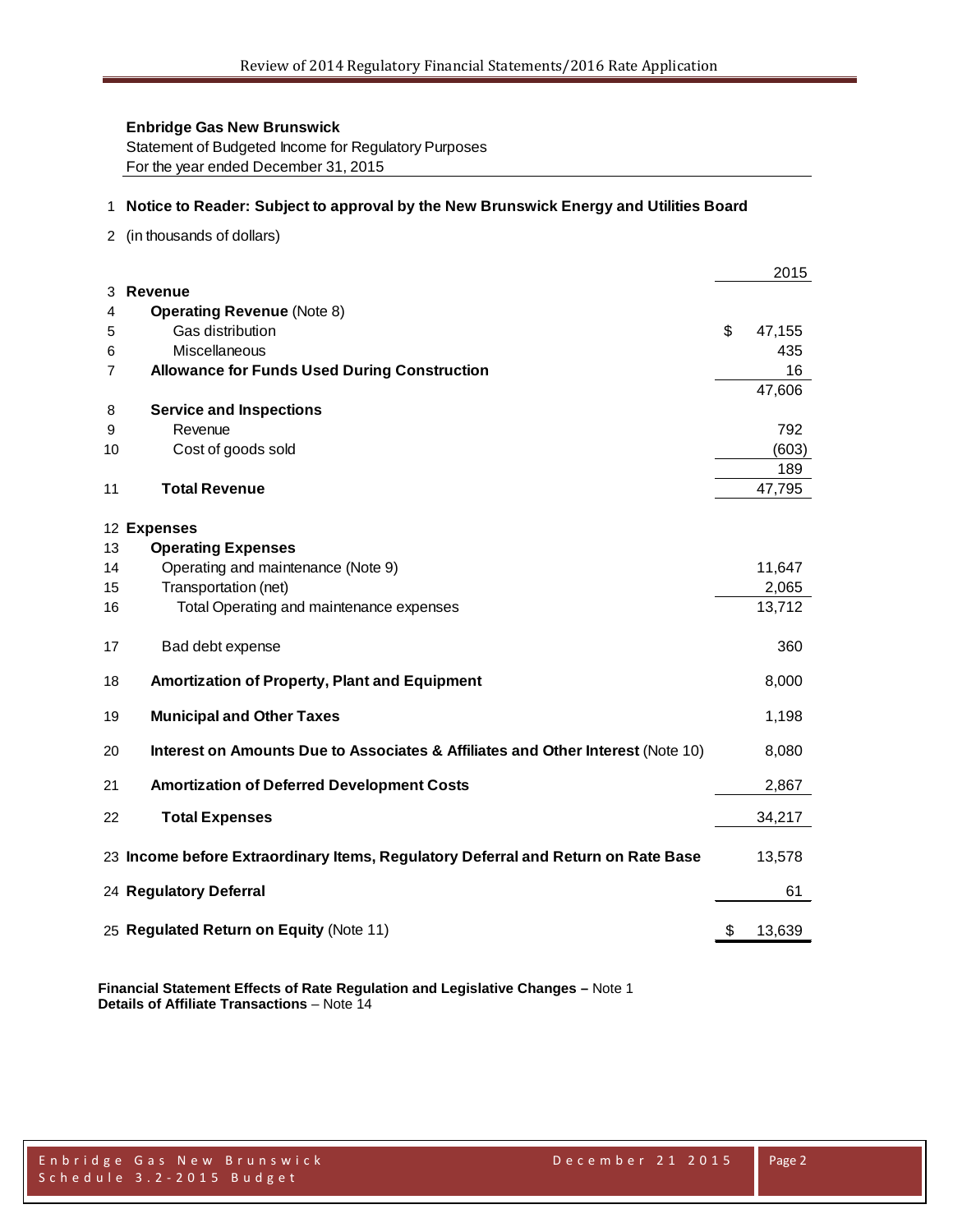Statement of Budgeted Income for Regulatory Purposes For the year ended December 31, 2015

#### 1 **Notice to Reader: Subject to approval by the New Brunswick Energy and Utilities Board**

2 (in thousands of dollars)

|    |                                                                                   | 2015         |
|----|-----------------------------------------------------------------------------------|--------------|
| 3  | <b>Revenue</b>                                                                    |              |
| 4  | <b>Operating Revenue (Note 8)</b>                                                 |              |
| 5  | Gas distribution                                                                  | \$<br>47,155 |
| 6  | Miscellaneous                                                                     | 435          |
| 7  | <b>Allowance for Funds Used During Construction</b>                               | 16           |
|    |                                                                                   | 47,606       |
| 8  | <b>Service and Inspections</b>                                                    |              |
| 9  | Revenue                                                                           | 792          |
| 10 | Cost of goods sold                                                                | (603)        |
|    |                                                                                   | 189          |
| 11 | <b>Total Revenue</b>                                                              | 47,795       |
|    |                                                                                   |              |
|    | 12 Expenses                                                                       |              |
| 13 | <b>Operating Expenses</b>                                                         |              |
| 14 | Operating and maintenance (Note 9)                                                | 11,647       |
| 15 | Transportation (net)                                                              | 2,065        |
| 16 | Total Operating and maintenance expenses                                          | 13,712       |
| 17 | Bad debt expense                                                                  | 360          |
| 18 | Amortization of Property, Plant and Equipment                                     | 8,000        |
| 19 | <b>Municipal and Other Taxes</b>                                                  | 1,198        |
| 20 | Interest on Amounts Due to Associates & Affiliates and Other Interest (Note 10)   | 8,080        |
| 21 | <b>Amortization of Deferred Development Costs</b>                                 | 2,867        |
| 22 | <b>Total Expenses</b>                                                             | 34,217       |
|    | 23 Income before Extraordinary Items, Regulatory Deferral and Return on Rate Base | 13,578       |
|    | 24 Regulatory Deferral                                                            | 61           |
|    | 25 Regulated Return on Equity (Note 11)                                           | \$<br>13,639 |

**Financial Statement Effects of Rate Regulation and Legislative Changes –** Note 1 **Details of Affiliate Transactions** – Note 14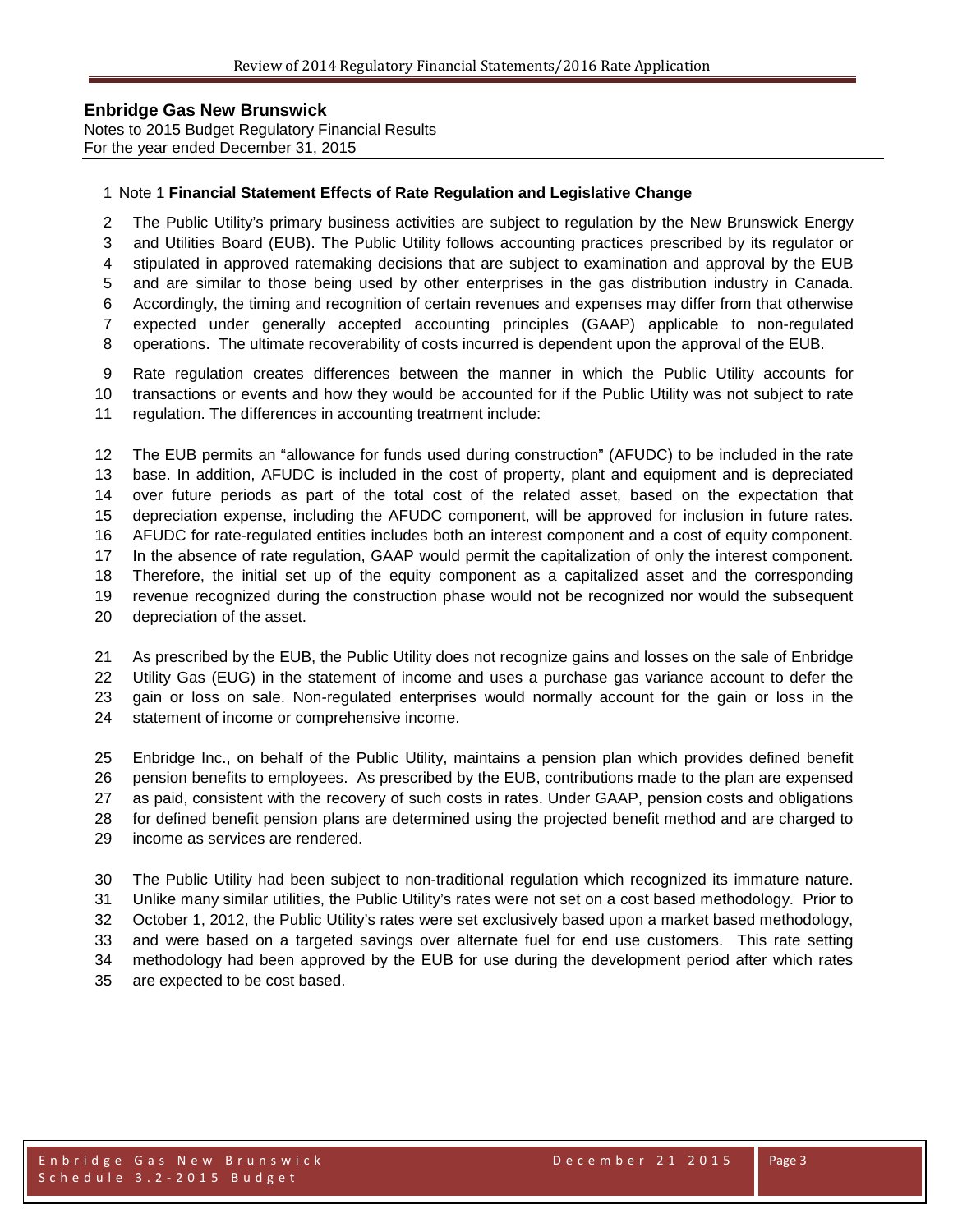Notes to 2015 Budget Regulatory Financial Results For the year ended December 31, 2015

#### Note 1 **Financial Statement Effects of Rate Regulation and Legislative Change**

 The Public Utility's primary business activities are subject to regulation by the New Brunswick Energy and Utilities Board (EUB). The Public Utility follows accounting practices prescribed by its regulator or stipulated in approved ratemaking decisions that are subject to examination and approval by the EUB and are similar to those being used by other enterprises in the gas distribution industry in Canada. Accordingly, the timing and recognition of certain revenues and expenses may differ from that otherwise expected under generally accepted accounting principles (GAAP) applicable to non-regulated operations. The ultimate recoverability of costs incurred is dependent upon the approval of the EUB.

 Rate regulation creates differences between the manner in which the Public Utility accounts for transactions or events and how they would be accounted for if the Public Utility was not subject to rate regulation. The differences in accounting treatment include:

 The EUB permits an "allowance for funds used during construction" (AFUDC) to be included in the rate base. In addition, AFUDC is included in the cost of property, plant and equipment and is depreciated over future periods as part of the total cost of the related asset, based on the expectation that depreciation expense, including the AFUDC component, will be approved for inclusion in future rates. AFUDC for rate-regulated entities includes both an interest component and a cost of equity component. In the absence of rate regulation, GAAP would permit the capitalization of only the interest component. Therefore, the initial set up of the equity component as a capitalized asset and the corresponding revenue recognized during the construction phase would not be recognized nor would the subsequent depreciation of the asset.

 As prescribed by the EUB, the Public Utility does not recognize gains and losses on the sale of Enbridge Utility Gas (EUG) in the statement of income and uses a purchase gas variance account to defer the gain or loss on sale. Non-regulated enterprises would normally account for the gain or loss in the statement of income or comprehensive income.

 Enbridge Inc., on behalf of the Public Utility, maintains a pension plan which provides defined benefit pension benefits to employees. As prescribed by the EUB, contributions made to the plan are expensed as paid, consistent with the recovery of such costs in rates. Under GAAP, pension costs and obligations for defined benefit pension plans are determined using the projected benefit method and are charged to income as services are rendered.

 The Public Utility had been subject to non-traditional regulation which recognized its immature nature. Unlike many similar utilities, the Public Utility's rates were not set on a cost based methodology. Prior to October 1, 2012, the Public Utility's rates were set exclusively based upon a market based methodology, and were based on a targeted savings over alternate fuel for end use customers. This rate setting methodology had been approved by the EUB for use during the development period after which rates are expected to be cost based.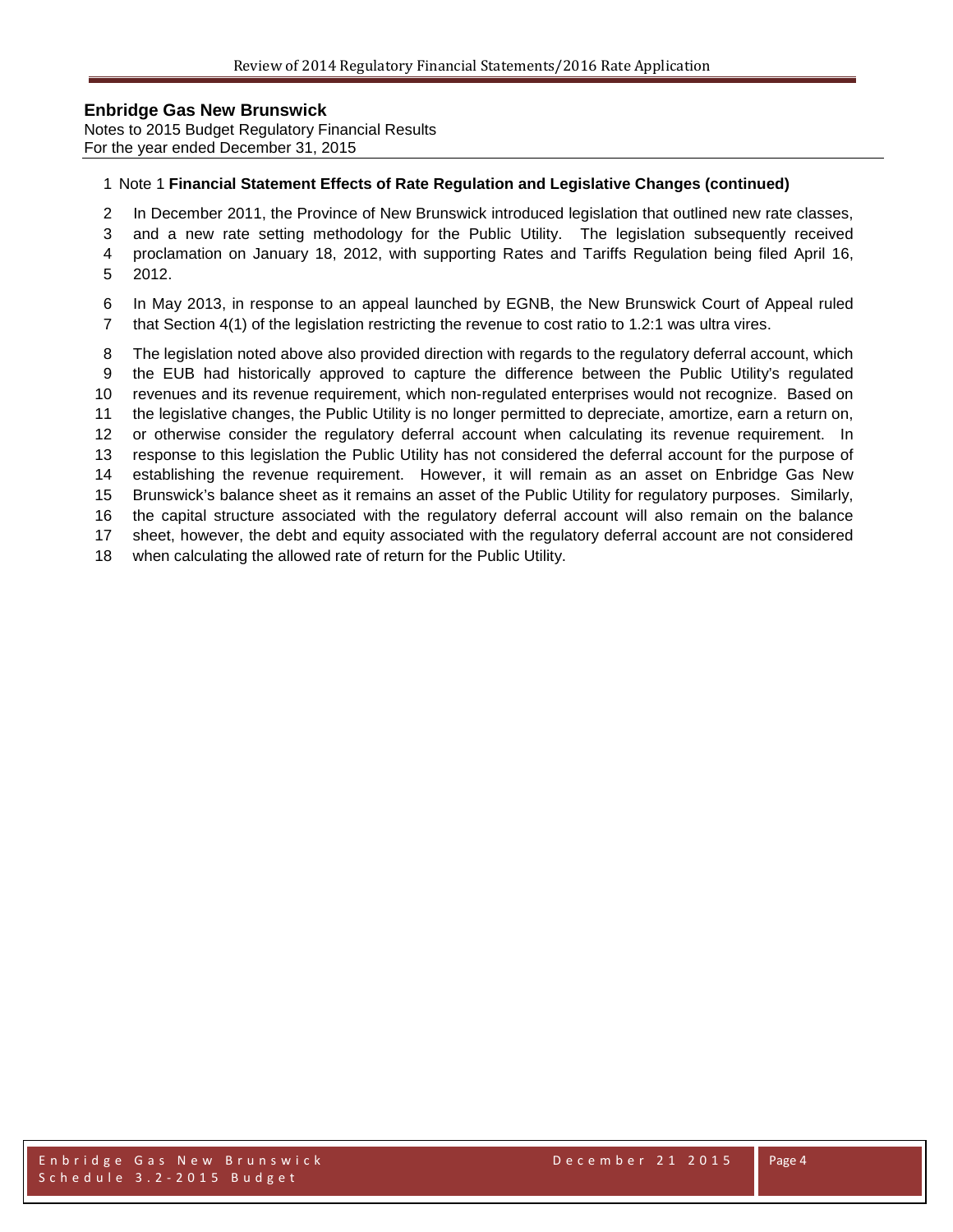Notes to 2015 Budget Regulatory Financial Results For the year ended December 31, 2015

#### Note 1 **Financial Statement Effects of Rate Regulation and Legislative Changes (continued)**

- In December 2011, the Province of New Brunswick introduced legislation that outlined new rate classes,
- and a new rate setting methodology for the Public Utility. The legislation subsequently received
- proclamation on January 18, 2012, with supporting Rates and Tariffs Regulation being filed April 16, 2012.
- In May 2013, in response to an appeal launched by EGNB, the New Brunswick Court of Appeal ruled
- that Section 4(1) of the legislation restricting the revenue to cost ratio to 1.2:1 was ultra vires.
- The legislation noted above also provided direction with regards to the regulatory deferral account, which
- the EUB had historically approved to capture the difference between the Public Utility's regulated
- revenues and its revenue requirement, which non-regulated enterprises would not recognize. Based on
- the legislative changes, the Public Utility is no longer permitted to depreciate, amortize, earn a return on,
- or otherwise consider the regulatory deferral account when calculating its revenue requirement. In
- response to this legislation the Public Utility has not considered the deferral account for the purpose of
- establishing the revenue requirement. However, it will remain as an asset on Enbridge Gas New Brunswick's balance sheet as it remains an asset of the Public Utility for regulatory purposes. Similarly,
- the capital structure associated with the regulatory deferral account will also remain on the balance
- sheet, however, the debt and equity associated with the regulatory deferral account are not considered
- when calculating the allowed rate of return for the Public Utility.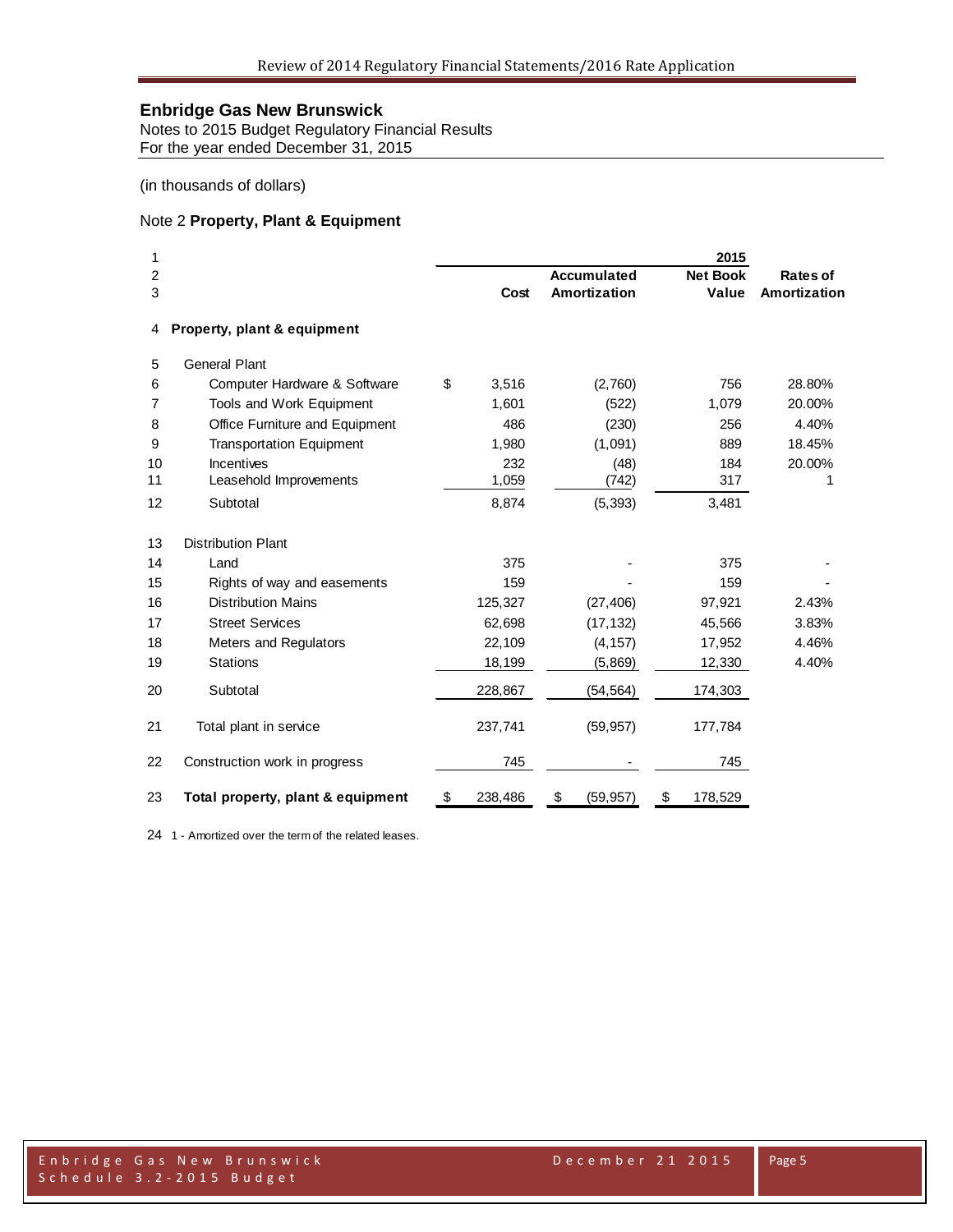Notes to 2015 Budget Regulatory Financial Results For the year ended December 31, 2015

(in thousands of dollars)

#### Note 2 **Property, Plant & Equipment**

| 1  |                                   |               |                    | 2015            |              |
|----|-----------------------------------|---------------|--------------------|-----------------|--------------|
| 2  |                                   |               | <b>Accumulated</b> | <b>Net Book</b> | Rates of     |
| 3  |                                   | Cost          | Amortization       | Value           | Amortization |
| 4  | Property, plant & equipment       |               |                    |                 |              |
| 5  | <b>General Plant</b>              |               |                    |                 |              |
| 6  | Computer Hardware & Software      | \$<br>3,516   | (2,760)            | 756             | 28.80%       |
| 7  | Tools and Work Equipment          | 1,601         | (522)              | 1,079           | 20.00%       |
| 8  | Office Furniture and Equipment    | 486           | (230)              | 256             | 4.40%        |
| 9  | <b>Transportation Equipment</b>   | 1,980         | (1,091)            | 889             | 18.45%       |
| 10 | <b>Incentives</b>                 | 232           | (48)               | 184             | 20.00%       |
| 11 | Leasehold Improvements            | 1,059         | (742)              | 317             | 1            |
| 12 | Subtotal                          | 8,874         | (5, 393)           | 3,481           |              |
| 13 | <b>Distribution Plant</b>         |               |                    |                 |              |
| 14 | Land                              | 375           |                    | 375             |              |
| 15 | Rights of way and easements       | 159           |                    | 159             |              |
| 16 | <b>Distribution Mains</b>         | 125,327       | (27, 406)          | 97,921          | 2.43%        |
| 17 | <b>Street Services</b>            | 62,698        | (17, 132)          | 45,566          | 3.83%        |
| 18 | Meters and Regulators             | 22,109        | (4, 157)           | 17,952          | 4.46%        |
| 19 | <b>Stations</b>                   | 18,199        | (5,869)            | 12,330          | 4.40%        |
| 20 | Subtotal                          | 228,867       | (54, 564)          | 174,303         |              |
| 21 | Total plant in service            | 237,741       | (59, 957)          | 177,784         |              |
| 22 | Construction work in progress     | 745           |                    | 745             |              |
| 23 | Total property, plant & equipment | \$<br>238,486 | \$<br>(59, 957)    | \$<br>178,529   |              |

1 - Amortized over the term of the related leases.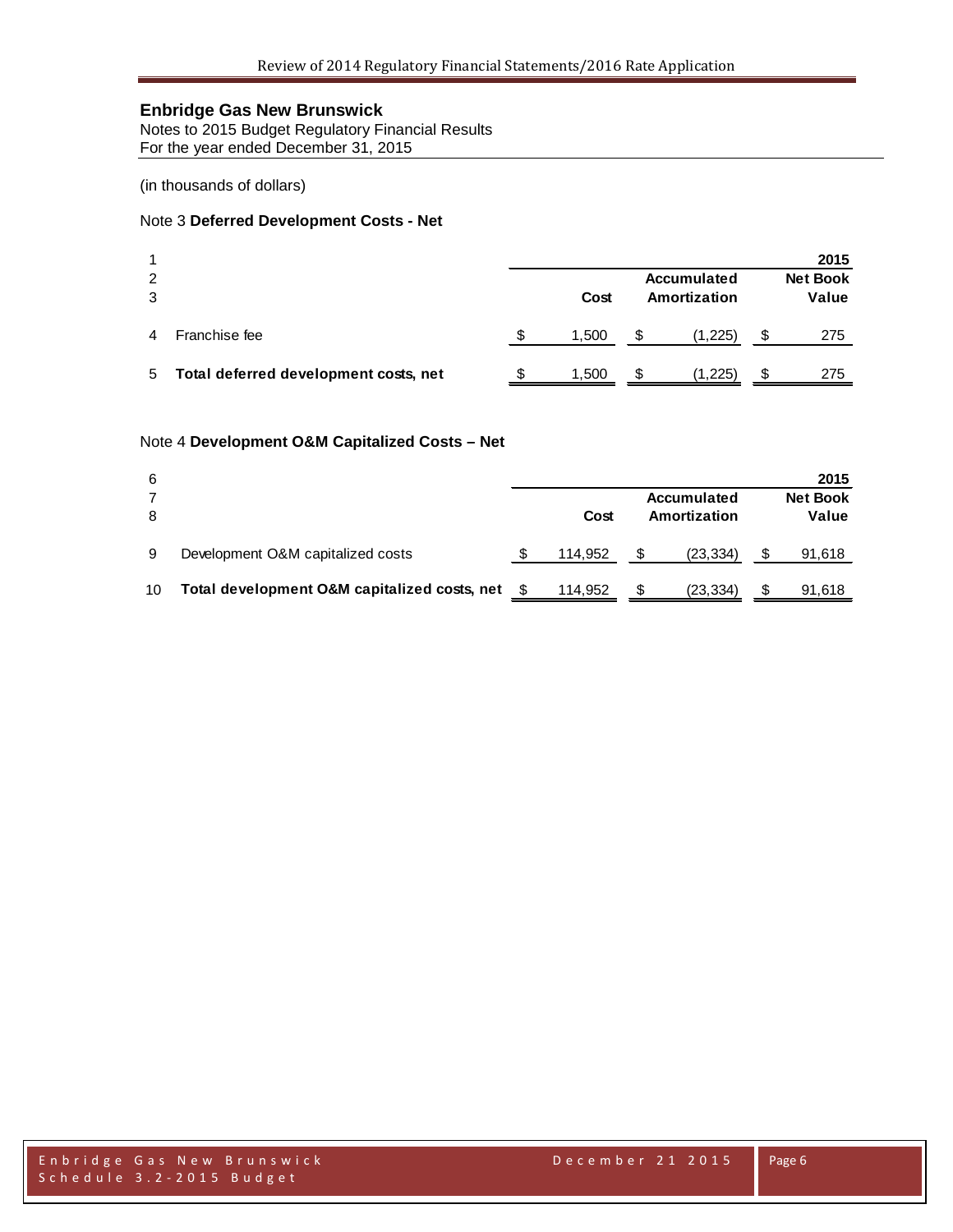Notes to 2015 Budget Regulatory Financial Results For the year ended December 31, 2015

(in thousands of dollars)

#### Note 3 **Deferred Development Costs - Net**

|        |                                       |                                     |       |   |                          |   | 2015 |
|--------|---------------------------------------|-------------------------------------|-------|---|--------------------------|---|------|
| 2<br>3 |                                       | Accumulated<br>Amortization<br>Cost |       |   | <b>Net Book</b><br>Value |   |      |
|        | Franchise fee                         |                                     | 1.500 | S | (1.225)                  | S | 275  |
| 5      | Total deferred development costs, net |                                     | 1,500 | S | (1,225)                  | S | 275  |

#### Note 4 **Development O&M Capitalized Costs – Net**

| 6  |                                              |         |   |                             |   | 2015                     |
|----|----------------------------------------------|---------|---|-----------------------------|---|--------------------------|
| 8  |                                              | Cost    |   | Accumulated<br>Amortization |   | <b>Net Book</b><br>Value |
| 9  | Development O&M capitalized costs            | 114.952 |   | (23, 334)                   |   | 91,618                   |
| 10 | Total development O&M capitalized costs, net | 114.952 | S | (23, 334)                   | S | 91,618                   |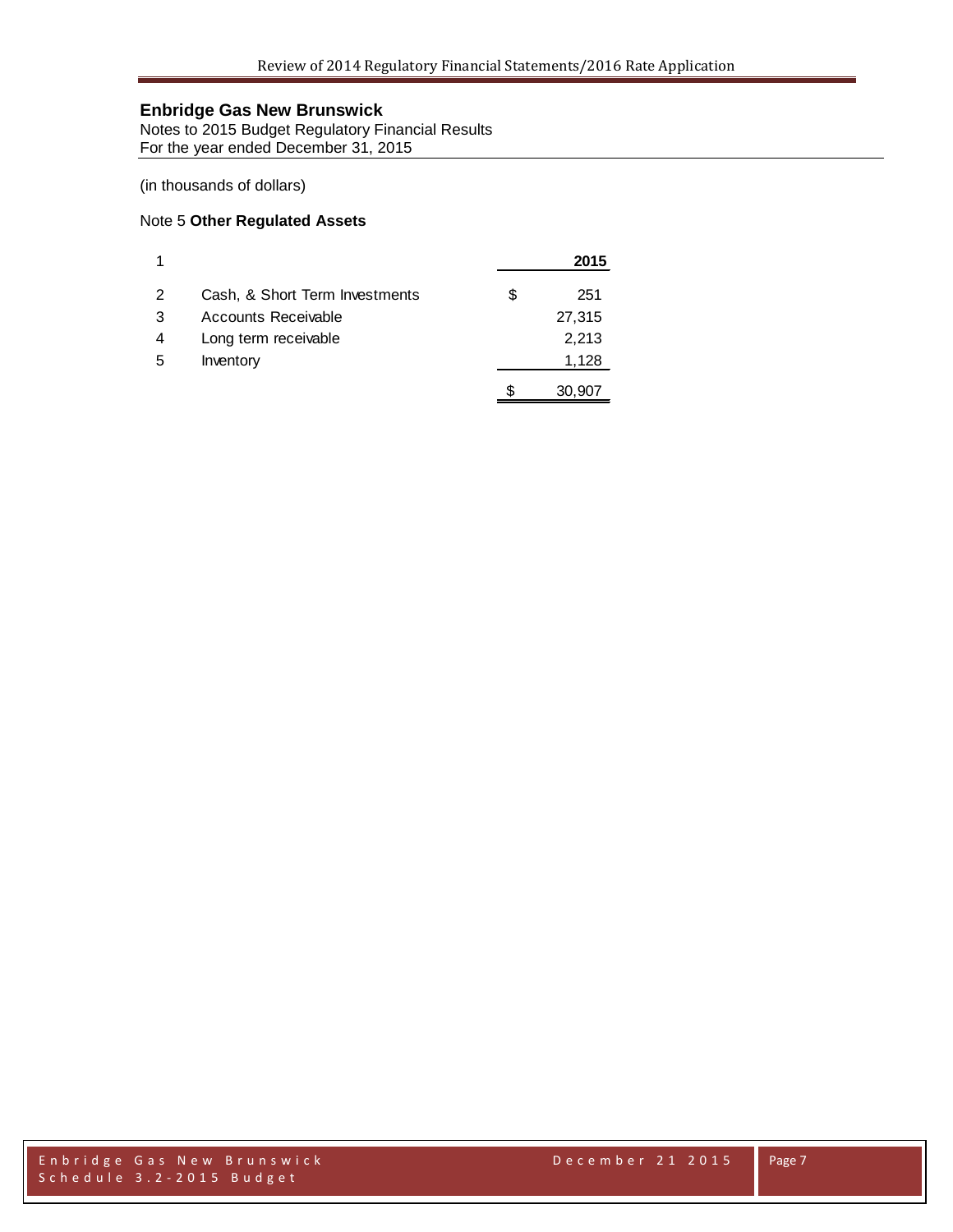Notes to 2015 Budget Regulatory Financial Results For the year ended December 31, 2015

(in thousands of dollars)

#### Note 5 **Other Regulated Assets**

|   |                                |   | 2015   |
|---|--------------------------------|---|--------|
| 2 | Cash, & Short Term Investments | S | 251    |
| 3 | Accounts Receivable            |   | 27,315 |
| 4 | Long term receivable           |   | 2,213  |
| 5 | Inventory                      |   | 1,128  |
|   |                                |   | 30,907 |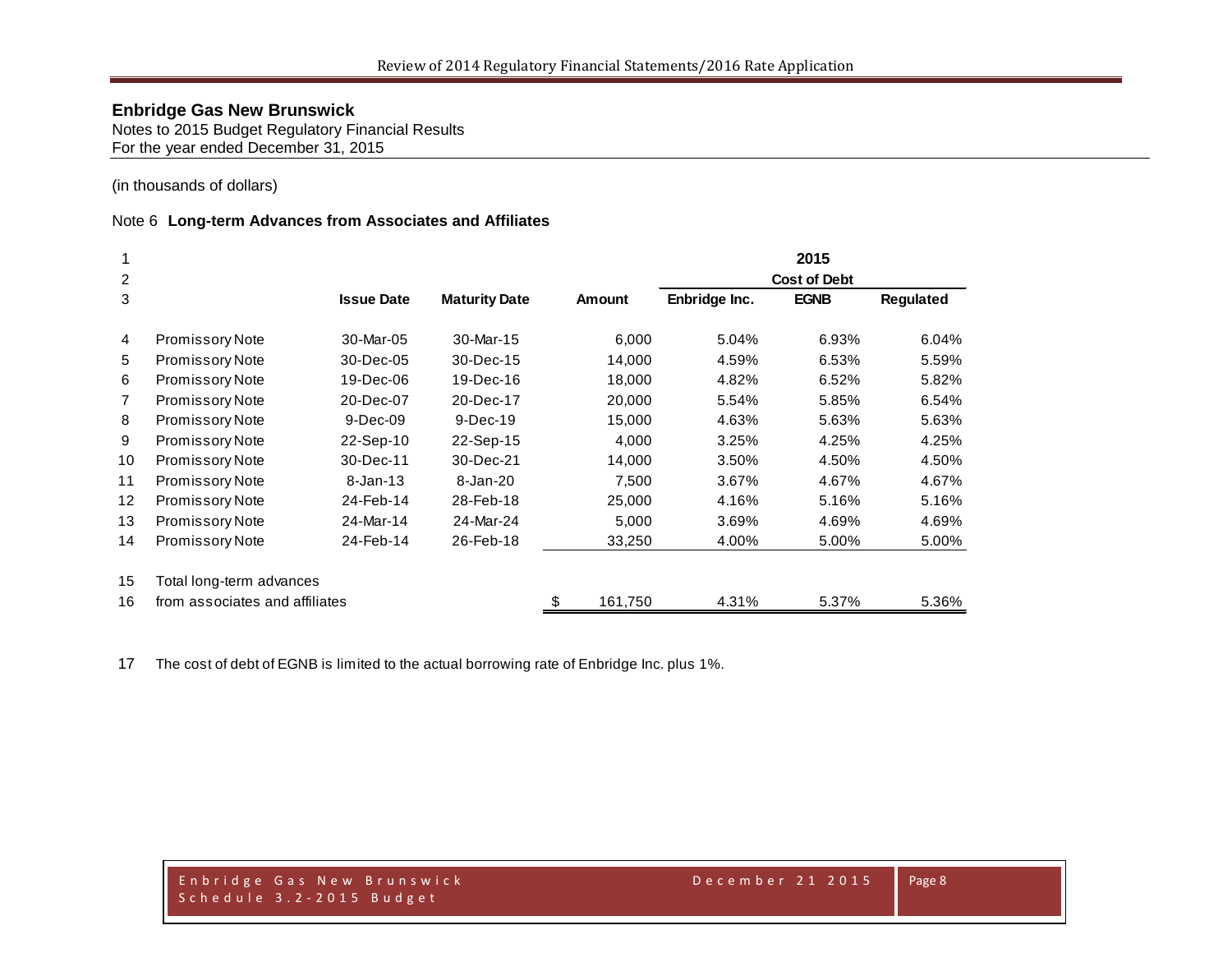Notes to 2015 Budget Regulatory Financial Results For the year ended December 31, 2015

(in thousands of dollars)

#### Note 6 **Long-term Advances from Associates and Affiliates**

| 1                 |                                |                   |                      |   |               |               | 2015                |           |
|-------------------|--------------------------------|-------------------|----------------------|---|---------------|---------------|---------------------|-----------|
| 2                 |                                |                   |                      |   |               |               | <b>Cost of Debt</b> |           |
| 3                 |                                | <b>Issue Date</b> | <b>Maturity Date</b> |   | <b>Amount</b> | Enbridge Inc. | <b>EGNB</b>         | Regulated |
| $\overline{4}$    | <b>Promissory Note</b>         | 30-Mar-05         | 30-Mar-15            |   | 6,000         | 5.04%         | 6.93%               | 6.04%     |
| 5                 | <b>Promissory Note</b>         | 30-Dec-05         | 30-Dec-15            |   | 14,000        | 4.59%         | 6.53%               | 5.59%     |
| 6                 | <b>Promissory Note</b>         | 19-Dec-06         | 19-Dec-16            |   | 18,000        | 4.82%         | 6.52%               | 5.82%     |
| $\overline{7}$    | <b>Promissory Note</b>         | 20-Dec-07         | 20-Dec-17            |   | 20,000        | 5.54%         | 5.85%               | 6.54%     |
| 8                 | <b>Promissory Note</b>         | 9-Dec-09          | $9-Dec-19$           |   | 15,000        | 4.63%         | 5.63%               | 5.63%     |
| 9                 | <b>Promissory Note</b>         | 22-Sep-10         | 22-Sep-15            |   | 4,000         | 3.25%         | 4.25%               | 4.25%     |
| 10                | Promissory Note                | 30-Dec-11         | 30-Dec-21            |   | 14,000        | 3.50%         | 4.50%               | 4.50%     |
| 11                | Promissory Note                | $8 - Jan - 13$    | 8-Jan-20             |   | 7,500         | 3.67%         | 4.67%               | 4.67%     |
| $12 \overline{ }$ | <b>Promissory Note</b>         | 24-Feb-14         | 28-Feb-18            |   | 25,000        | 4.16%         | 5.16%               | 5.16%     |
| 13                | <b>Promissory Note</b>         | 24-Mar-14         | 24-Mar-24            |   | 5,000         | 3.69%         | 4.69%               | 4.69%     |
| 14                | Promissory Note                | 24-Feb-14         | 26-Feb-18            |   | 33,250        | 4.00%         | 5.00%               | 5.00%     |
| 15                | Total long-term advances       |                   |                      |   |               |               |                     |           |
| 16                | from associates and affiliates |                   |                      | S | 161,750       | 4.31%         | 5.37%               | 5.36%     |

The cost of debt of EGNB is limited to the actual borrowing rate of Enbridge Inc. plus 1%.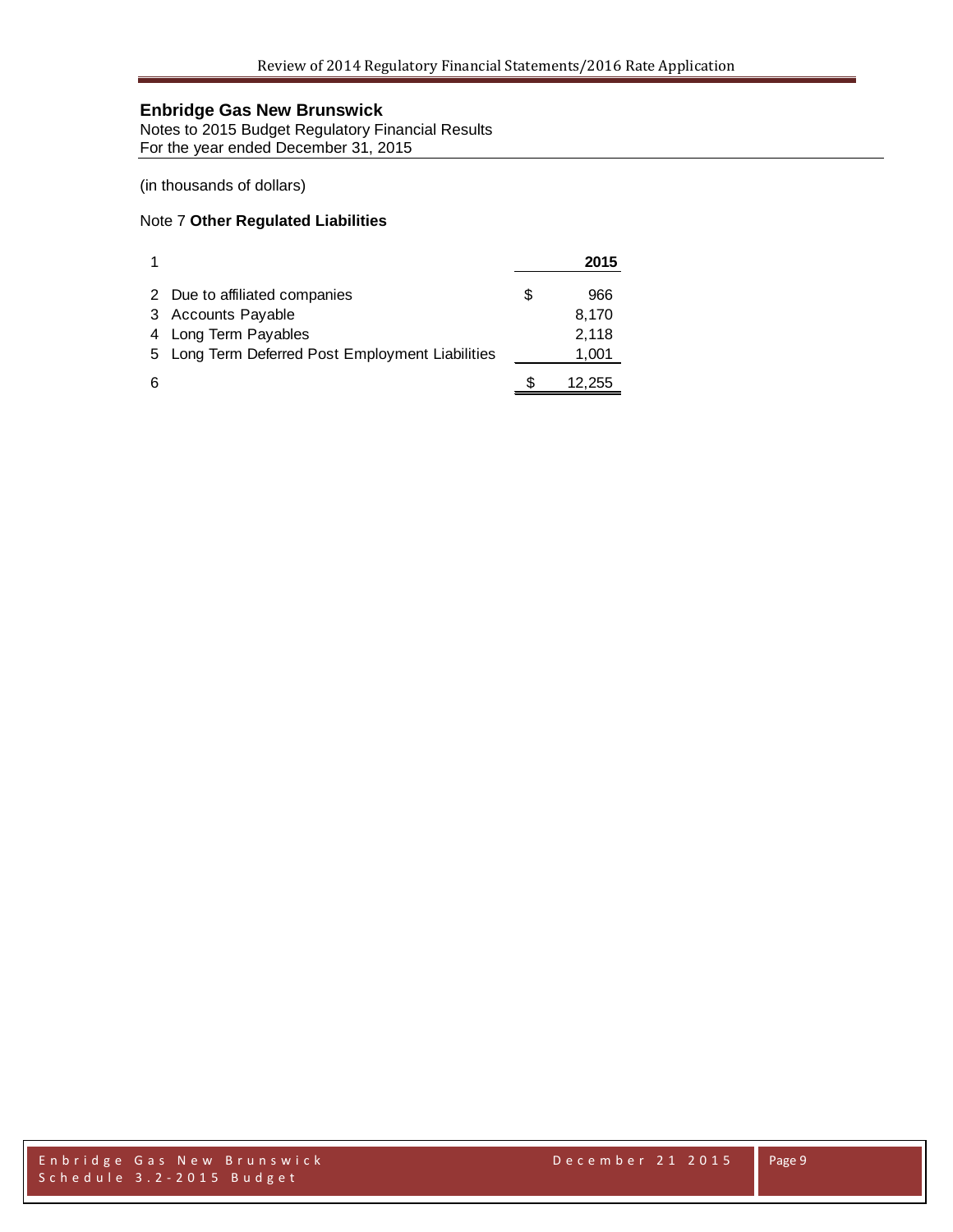Notes to 2015 Budget Regulatory Financial Results For the year ended December 31, 2015

(in thousands of dollars)

#### Note 7 **Other Regulated Liabilities**

|   |                                                  |   | 2015   |
|---|--------------------------------------------------|---|--------|
|   | 2 Due to affiliated companies                    | S | 966    |
| 3 | <b>Accounts Payable</b>                          |   | 8,170  |
| 4 | Long Term Payables                               |   | 2,118  |
|   | 5 Long Term Deferred Post Employment Liabilities |   | 1,001  |
| 6 |                                                  |   | 12,255 |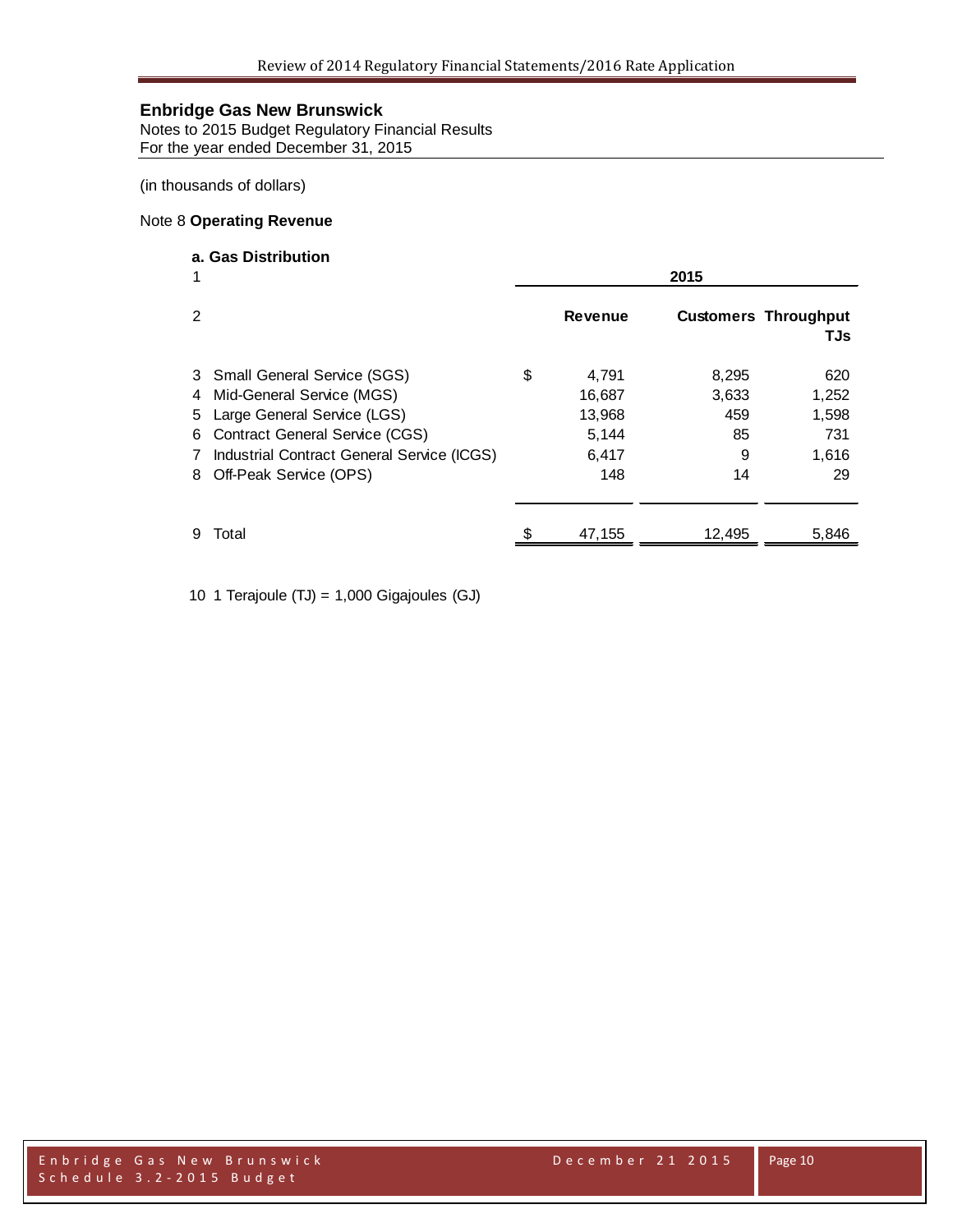Notes to 2015 Budget Regulatory Financial Results For the year ended December 31, 2015

(in thousands of dollars)

### Note 8 **Operating Revenue**

## **a. Gas Distribution**

|                  |                                                                                                                                                                                                            | 2015 |                                                    |                                        |                                             |  |  |
|------------------|------------------------------------------------------------------------------------------------------------------------------------------------------------------------------------------------------------|------|----------------------------------------------------|----------------------------------------|---------------------------------------------|--|--|
| 2                |                                                                                                                                                                                                            |      | <b>Revenue</b>                                     |                                        | <b>Customers Throughput</b><br>TJs          |  |  |
| 4<br>5<br>6<br>8 | 3 Small General Service (SGS)<br>Mid-General Service (MGS)<br>Large General Service (LGS)<br><b>Contract General Service (CGS)</b><br>Industrial Contract General Service (ICGS)<br>Off-Peak Service (OPS) | S    | 4,791<br>16,687<br>13,968<br>5,144<br>6,417<br>148 | 8,295<br>3,633<br>459<br>85<br>9<br>14 | 620<br>1,252<br>1,598<br>731<br>1,616<br>29 |  |  |
| 9                | Total                                                                                                                                                                                                      |      | 47,155                                             | 12,495                                 | 5,846                                       |  |  |

10 1 Terajoule (TJ) = 1,000 Gigajoules (GJ)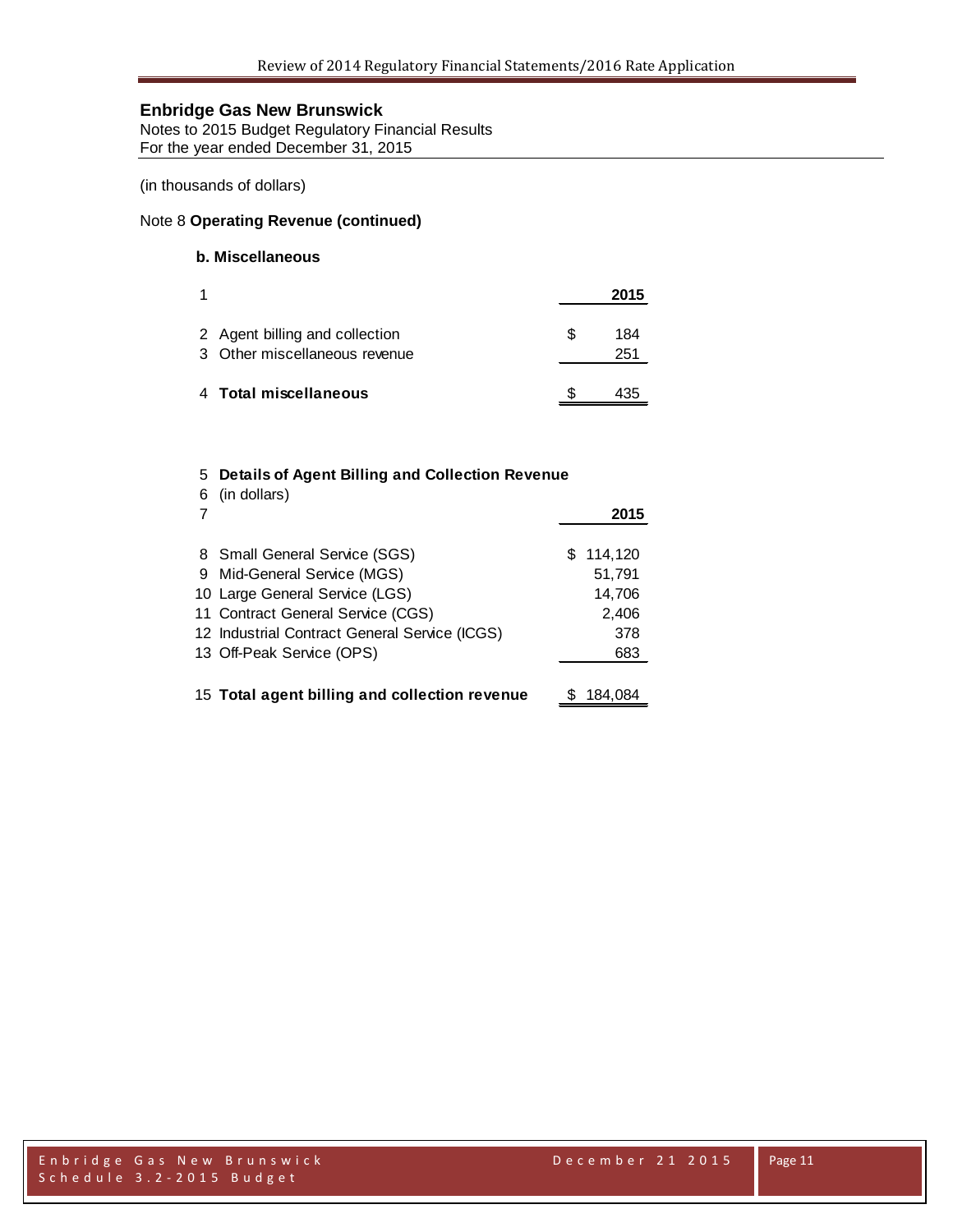Notes to 2015 Budget Regulatory Financial Results For the year ended December 31, 2015

(in thousands of dollars)

#### Note 8 **Operating Revenue (continued)**

## **b. Miscellaneous**

| 1                                                               |    | 2015       |
|-----------------------------------------------------------------|----|------------|
| 2 Agent billing and collection<br>3 Other miscellaneous revenue | S. | 184<br>251 |
| 4 Total miscellaneous                                           |    | 135        |

### 5 **Details of Agent Billing and Collection Revenue**

| -6 | (in dollars)                                  |    | 2015    |
|----|-----------------------------------------------|----|---------|
|    | 8 Small General Service (SGS)                 | S. | 114,120 |
|    | 9 Mid-General Service (MGS)                   |    | 51,791  |
|    | 10 Large General Service (LGS)                |    | 14,706  |
|    | 11 Contract General Service (CGS)             |    | 2,406   |
|    | 12 Industrial Contract General Service (ICGS) |    | 378     |
|    | 13 Off-Peak Service (OPS)                     |    | 683     |
|    |                                               |    |         |
|    | 15 Total agent billing and collection revenue |    | 184.084 |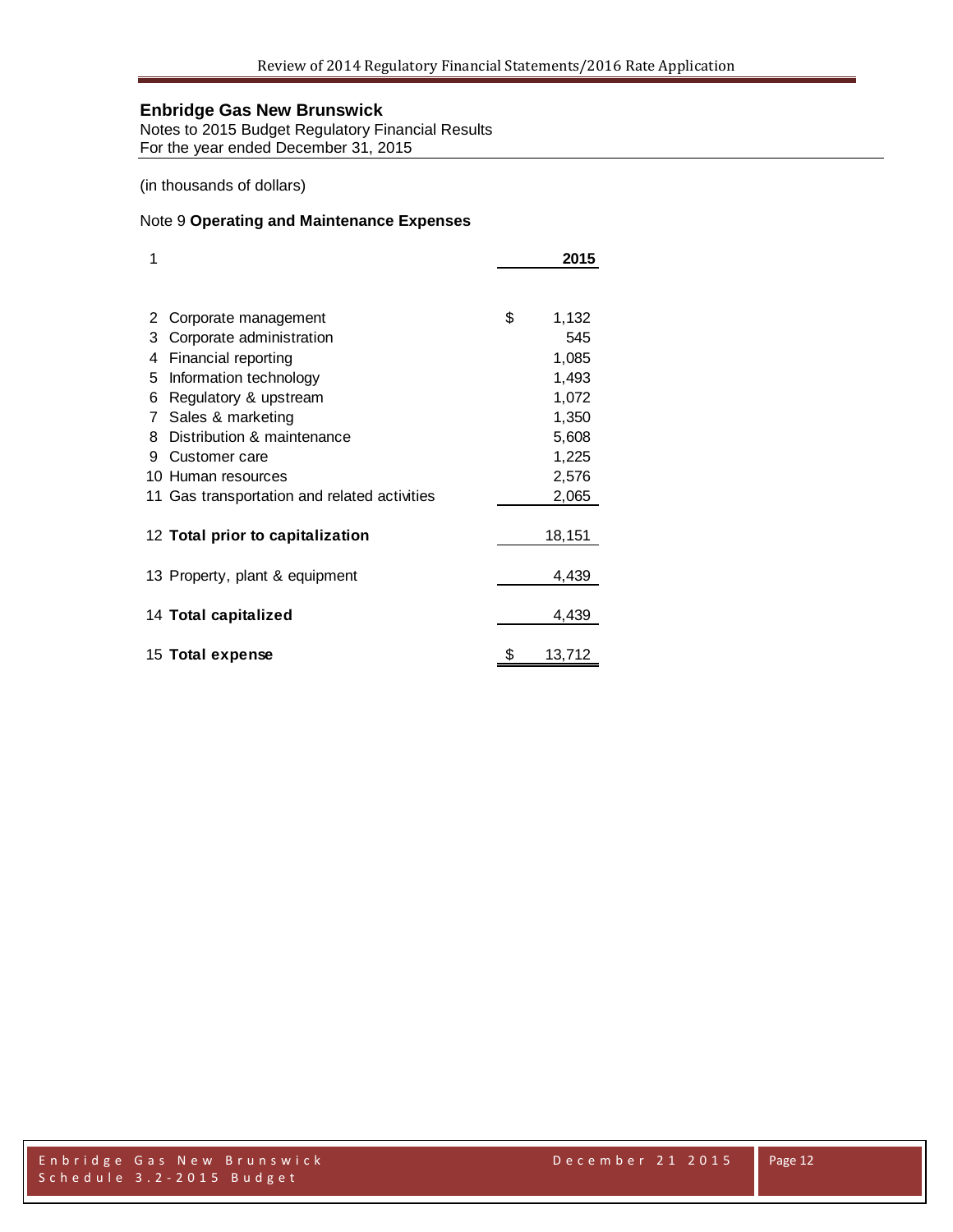Notes to 2015 Budget Regulatory Financial Results For the year ended December 31, 2015

(in thousands of dollars)

#### Note 9 **Operating and Maintenance Expenses**

| 1 |                                              | 2015        |
|---|----------------------------------------------|-------------|
|   |                                              |             |
| 2 | Corporate management                         | \$<br>1,132 |
| 3 | Corporate administration                     | 545         |
| 4 | Financial reporting                          | 1,085       |
| 5 | Information technology                       | 1,493       |
| 6 | Regulatory & upstream                        | 1,072       |
| 7 | Sales & marketing                            | 1,350       |
| 8 | Distribution & maintenance                   | 5,608       |
| 9 | Customer care                                | 1,225       |
|   | 10 Human resources                           | 2,576       |
|   | 11 Gas transportation and related activities | 2,065       |
|   |                                              |             |
|   | 12 Total prior to capitalization             | 18,151      |
|   | 13 Property, plant & equipment               | 4,439       |
|   |                                              |             |
|   | 14 Total capitalized                         | 4,439       |
|   | 15 Total expense                             | 13,712      |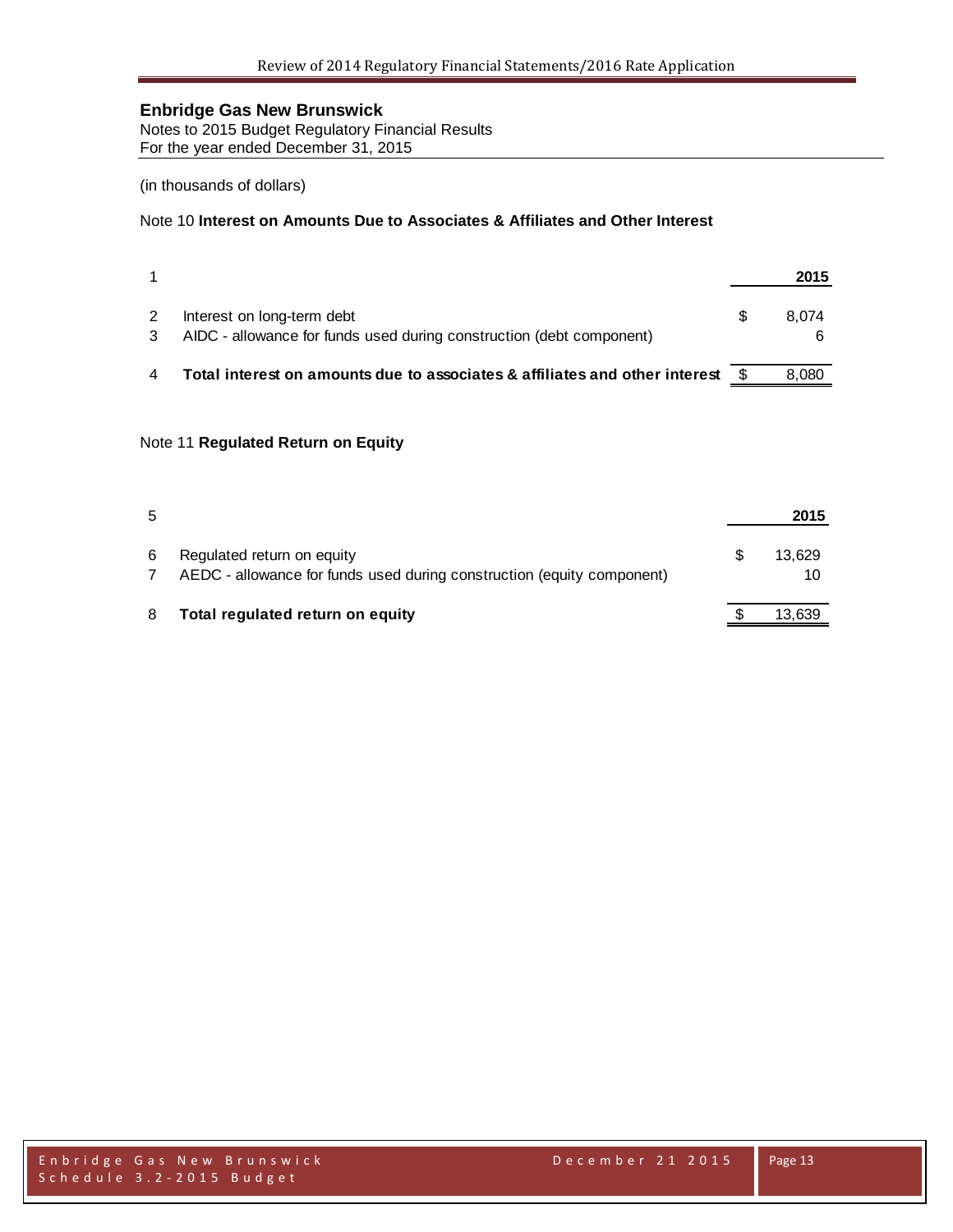Notes to 2015 Budget Regulatory Financial Results For the year ended December 31, 2015

## (in thousands of dollars)

#### Note 10 **Interest on Amounts Due to Associates & Affiliates and Other Interest**

|                                                                                                    | 2015  |
|----------------------------------------------------------------------------------------------------|-------|
| Interest on long-term debt<br>AIDC - allowance for funds used during construction (debt component) | 8.074 |
| Total interest on amounts due to associates & affiliates and other interest                        | 8.080 |

### Note 11 **Regulated Return on Equity**

| 5 |                                                                                                      | 2015         |
|---|------------------------------------------------------------------------------------------------------|--------------|
| 6 | Regulated return on equity<br>AEDC - allowance for funds used during construction (equity component) | 13.629<br>10 |
| 8 | Total regulated return on equity                                                                     | 13,639       |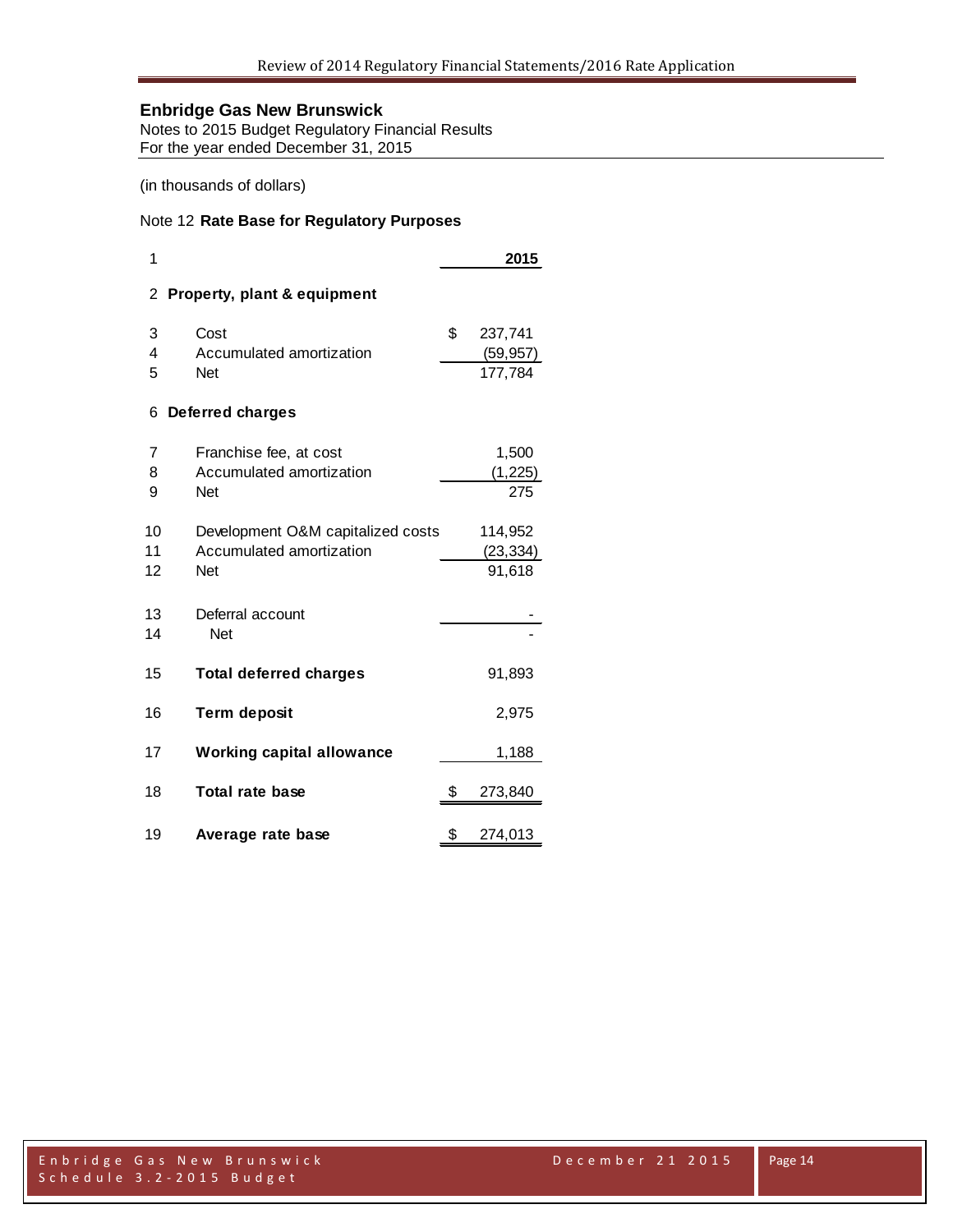Notes to 2015 Budget Regulatory Financial Results For the year ended December 31, 2015

#### (in thousands of dollars)

#### Note 12 **Rate Base for Regulatory Purposes**

| 1  |                                        | 2015          |  |
|----|----------------------------------------|---------------|--|
| 2  | <b>Property, plant &amp; equipment</b> |               |  |
| 3  | Cost                                   | \$<br>237,741 |  |
| 4  | Accumulated amortization               | (59, 957)     |  |
| 5  | Net                                    | 177,784       |  |
| 6  | <b>Deferred charges</b>                |               |  |
| 7  | Franchise fee, at cost                 | 1,500         |  |
| 8  | Accumulated amortization               | (1, 225)      |  |
| 9  | Net                                    | 275           |  |
| 10 | Development O&M capitalized costs      | 114,952       |  |
| 11 | Accumulated amortization               | (23, 334)     |  |
| 12 | Net                                    | 91,618        |  |
|    |                                        |               |  |
| 13 | Deferral account                       |               |  |
| 14 | <b>Net</b>                             |               |  |
| 15 | <b>Total deferred charges</b>          | 91,893        |  |
| 16 | <b>Term deposit</b>                    | 2,975         |  |
| 17 | <b>Working capital allowance</b>       | 1,188         |  |
| 18 | Total rate base                        | \$<br>273,840 |  |
| 19 | Average rate base                      | \$<br>274,013 |  |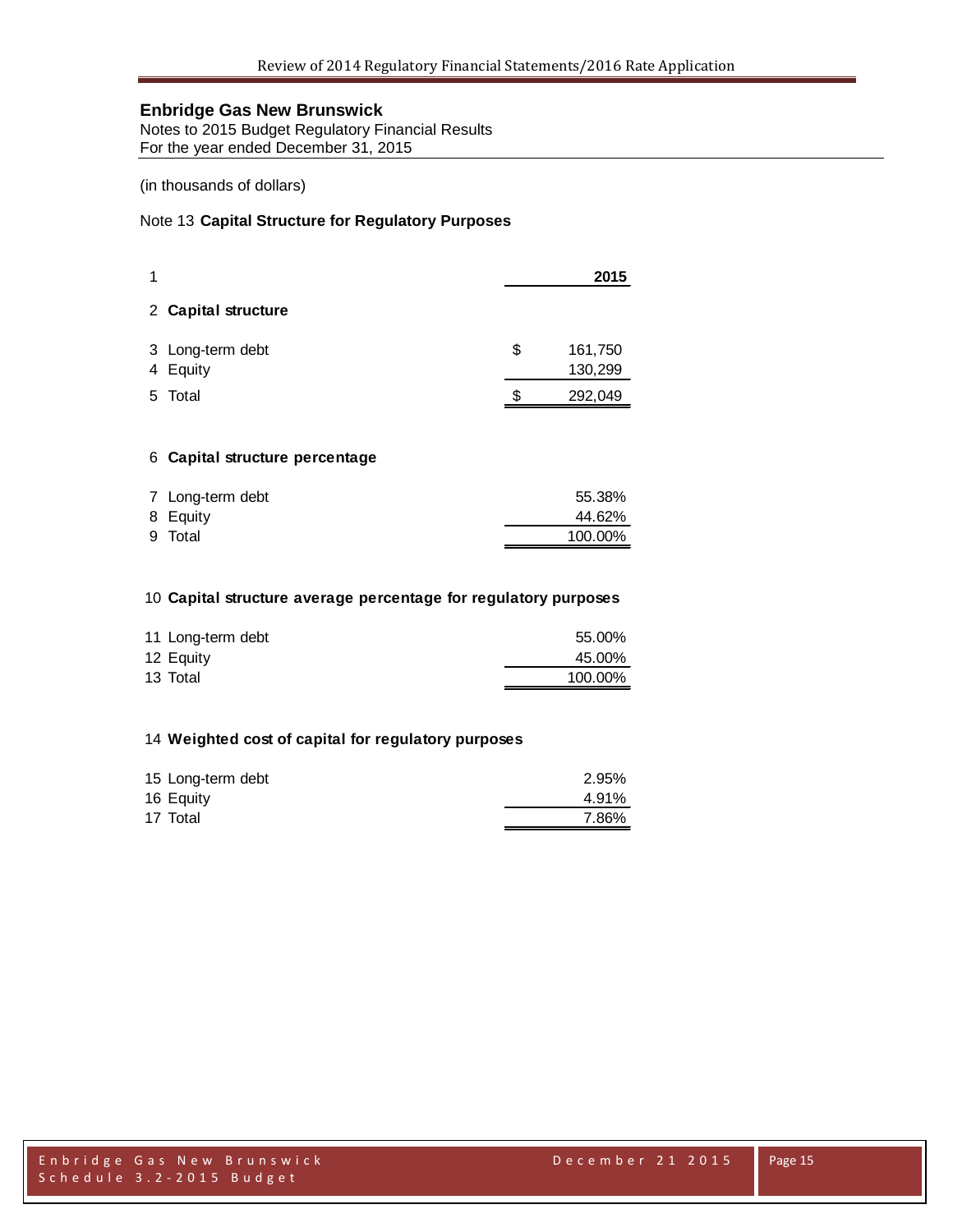Notes to 2015 Budget Regulatory Financial Results For the year ended December 31, 2015

(in thousands of dollars)

#### Note 13 **Capital Structure for Regulatory Purposes**

|    |                              |    | 2015               |
|----|------------------------------|----|--------------------|
|    | 2 Capital structure          |    |                    |
|    | 3 Long-term debt<br>4 Equity | \$ | 161,750<br>130,299 |
| 5. | Total                        | S  | 292,049            |

#### **Capital structure percentage**

| 7 Long-term debt | 55.38%  |
|------------------|---------|
| 8 Equity         | 44.62%  |
| 9 Total          | 100.00% |

#### **Capital structure average percentage for regulatory purposes**

| 11 Long-term debt | 55.00%  |
|-------------------|---------|
| 12 Equity         | 45.00%  |
| 13 Total          | 100.00% |

#### **Weighted cost of capital for regulatory purposes**

| 15 Long-term debt | 2.95% |
|-------------------|-------|
| 16 Equity         | 4.91% |
| 17 Total          | 7.86% |